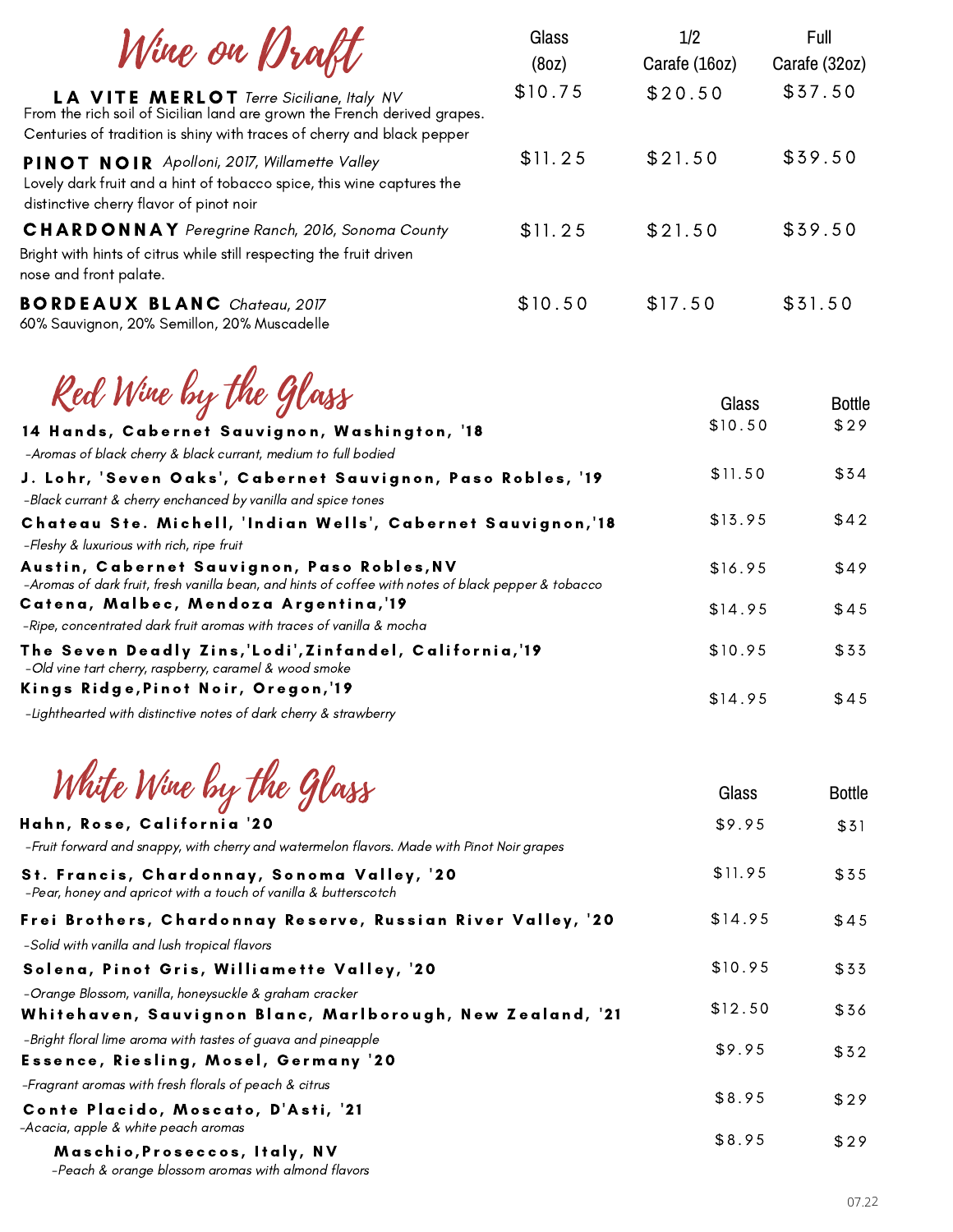| Wine on Braft                                                                                                                                                                                         | Glass<br>(80Z) | 1/2<br>Carafe (16oz) | Full<br>Carafe (32oz) |
|-------------------------------------------------------------------------------------------------------------------------------------------------------------------------------------------------------|----------------|----------------------|-----------------------|
| <b>LA VITE MERLOT</b> Terre Siciliane, Italy NV<br>From the rich soil of Sicilian land are grown the French derived grapes.<br>Centuries of tradition is shiny with traces of cherry and black pepper | \$10.75        | \$20.50              | \$37.50               |
| PINOT NOIR Apolloni, 2017, Willamette Valley<br>Lovely dark fruit and a hint of tobacco spice, this wine captures the<br>distinctive cherry flavor of pinot noir                                      | \$11.25        | \$21.50              | \$39.50               |
| <b>CHARDONNAY</b> Peregrine Ranch, 2016, Sonoma County<br>Bright with hints of citrus while still respecting the fruit driven<br>nose and front palate.                                               | \$11.25        | \$21.50              | \$39.50               |
| <b>BORDEAUX BLANC</b> Chateau, 2017<br>60% Sauvignon, 20% Semillon, 20% Muscadelle                                                                                                                    | \$10.50        | \$17.50              | \$31.50               |
| Red Wine by the Glass<br>14 Hands, Cabernet Sauvignon, Washington, '18                                                                                                                                |                | Glass<br>\$10.50     | <b>Bottle</b><br>\$29 |
| -Aromas of black cherry & black currant, medium to full bodied                                                                                                                                        |                |                      |                       |
| J. Lohr, 'Seven Oaks', Cabernet Sauvignon, Paso Robles, '19<br>-Black currant & cherry enchanced by vanilla and spice tones                                                                           |                | \$11.50              | \$34                  |
| Chateau Ste. Michell, 'Indian Wells', Cabernet Sauvignon,'18<br>-Fleshy & luxurious with rich, ripe fruit                                                                                             |                | \$13.95              | \$42                  |
| Austin, Cabernet Sauvignon, Paso Robles, NV<br>-Aromas of dark fruit, fresh vanilla bean, and hints of coffee with notes of black pepper & tobacco                                                    |                | \$16.95              | \$49                  |
| Catena, Malbec, Mendoza Argentina,'19                                                                                                                                                                 |                | \$14.95              | \$45                  |
| -Ripe, concentrated dark fruit aromas with traces of vanilla & mocha                                                                                                                                  |                |                      |                       |
| The Seven Deadly Zins,'Lodi',Zinfandel, California,'19<br>-Old vine tart cherry, raspberry, caramel & wood smoke                                                                                      |                | \$10.95              | \$33                  |
| Kings Ridge, Pinot Noir, Oregon, '19                                                                                                                                                                  |                | \$14.95              | \$45                  |
| -Lighthearted with distinctive notes of dark cherry & strawberry                                                                                                                                      |                |                      |                       |
| White Wine by the Glass                                                                                                                                                                               |                | Glass                | <b>Bottle</b>         |
| Hahn, Rose, California '20<br>-Fruit forward and snappy, with cherry and watermelon flavors. Made with Pinot Noir grapes                                                                              |                | \$9.95               | \$31                  |
| St. Francis, Chardonnay, Sonoma Valley, '20<br>-Pear, honey and apricot with a touch of vanilla & butterscotch                                                                                        |                | \$11.95              | \$35                  |
| Frei Brothers, Chardonnay Reserve, Russian River Valley, '20<br>-Solid with vanilla and lush tropical flavors                                                                                         |                | \$14.95              | \$45                  |
| Solena, Pinot Gris, Williamette Valley, '20                                                                                                                                                           |                | \$10.95              | \$33                  |
| -Orange Blossom, vanilla, honeysuckle & graham cracker<br>Whitehaven, Sauvignon Blanc, Marlborough, New Zealand, '21                                                                                  |                | \$12.50              | \$36                  |
| -Bright floral lime aroma with tastes of guava and pineapple<br>Essence, Riesling, Mosel, Germany '20                                                                                                 |                | \$9.95               | \$32                  |
| -Fragrant aromas with fresh florals of peach & citrus<br>Conto Placido Moccato D'Acti '21                                                                                                             |                | \$8.95               | \$29                  |
|                                                                                                                                                                                                       |                |                      |                       |

Conte Placido, Moscato, D'Asti, '21 -Acacia, apple & white peach aromas

Maschio, Proseccos, Italy, NV

-Peach & orange blossom aromas with almond flavors

\$ 2 9

\$ 8 . 9 5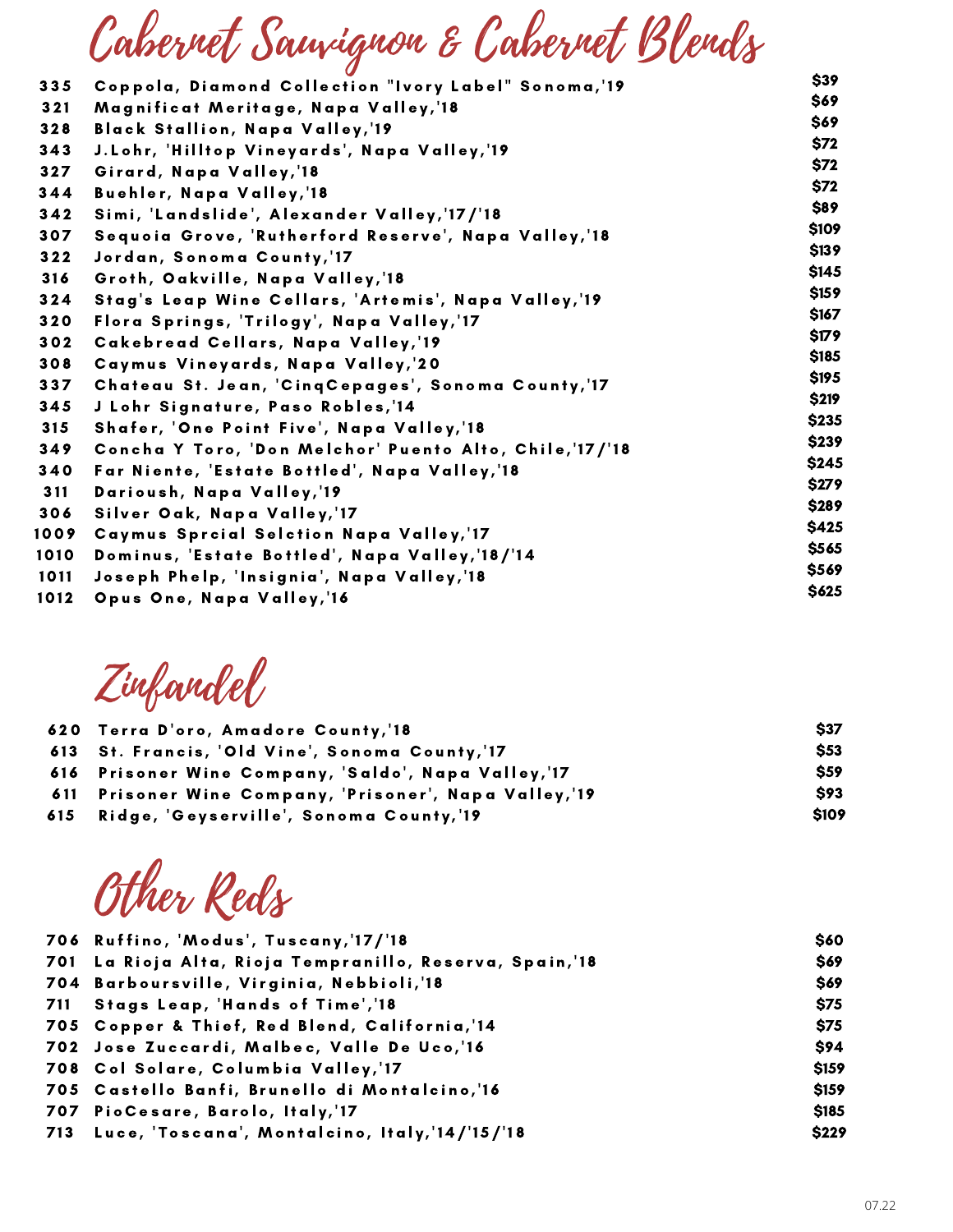## Cabernet Sauvignon & Cabernet Blends

| 335  | Coppola, Diamond Collection "Ivory Label" Sonoma, 19     | \$39        |
|------|----------------------------------------------------------|-------------|
| 321  | Magnificat Meritage, Napa Valley,'18                     | \$69        |
|      |                                                          | \$69        |
| 328  | <b>Black Stallion, Napa Valley, 19</b>                   | \$72        |
| 343  | J.Lohr, 'Hilltop Vineyards', Napa Valley,'19             | <b>\$72</b> |
| 327  | Girard, Napa Valley, 18                                  |             |
| 344  | Buehler, Napa Valley,'18                                 | \$72        |
| 342  | Simi, 'Landslide', Alexander Valley, '17/'18             | \$89        |
| 307  | Sequoia Grove, 'Rutherford Reserve', Napa Valley,'18     | \$109       |
| 322  | Jordan, Sonoma County, 17                                | \$139       |
| 316  | Groth, Oakville, Napa Valley,'18                         | \$145       |
| 324  | Stag's Leap Wine Cellars, 'Artemis', Napa Valley,'19     | \$159       |
| 320  | Flora Springs, 'Trilogy', Napa Valley, '17               | \$167       |
| 302  | Cakebread Cellars, Napa Valley, 19                       | \$179       |
| 308  | Caymus Vineyards, Napa Valley, 20                        | \$185       |
| 337  | Chateau St. Jean, 'CinqCepages', Sonoma County, 17       | \$195       |
|      |                                                          | \$219       |
| 345  | J Lohr Signature, Paso Robles, 14                        | \$235       |
| 315  | Shafer, 'One Point Five', Napa Valley, '18               | \$239       |
| 349  | Concha Y Toro, 'Don Melchor' Puento Alto, Chile, '17/'18 | \$245       |
| 340  | Far Niente, 'Estate Bottled', Napa Valley, '18           |             |
| 311  | Darioush, Napa Valley, 19                                | \$279       |
| 306  | Silver Oak, Napa Valley,'17                              | \$289       |
| 1009 | Caymus Sprcial Selction Napa Valley, 17                  | \$425       |
| 1010 | Dominus, 'Estate Bottled', Napa Valley, '18/'14          | \$565       |
| 1011 | Joseph Phelp, 'Insignia', Napa Valley, '18               | \$569       |
| 1012 | Opus One, Napa Valley, 16                                | \$625       |
|      |                                                          |             |

Zinfandel

| 620 Terra D'oro, Amadore County, 18                    | <b>S37</b>   |
|--------------------------------------------------------|--------------|
| 613 St. Francis, 'Old Vine', Sonoma County, 17         | \$53         |
| 616 Prisoner Wine Company, 'Saldo', Napa Valley, '17   | <b>S59</b>   |
| 611 Prisoner Wine Company, 'Prisoner', Napa Valley,'19 | <b>S93</b>   |
| 615    Ridge, 'Geyserville', Sonoma County, 19         | <b>\$109</b> |

Other Reds

| 706 Ruffino, 'Modus', Tuscany, 17/18                     | \$60  |
|----------------------------------------------------------|-------|
| 701 La Rioja Alta, Rioja Tempranillo, Reserva, Spain,'18 | \$69  |
| 704 Barboursville, Virginia, Nebbioli,'18                | \$69  |
| 711 Stags Leap, 'Hands of Time', '18                     | \$75  |
| 705 Copper & Thief, Red Blend, California, 14            | \$75  |
| 702 Jose Zuccardi, Malbec, Valle De Uco,'16              | \$94  |
| 708 Col Solare, Columbia Valley, 17                      | \$159 |
| 705 Castello Banfi, Brunello di Montalcino,'16           | \$159 |
| 707 PioCesare, Barolo, Italy, 17                         | \$185 |
| 713 Luce, 'Toscana', Montalcino, Italy, 14/15/18         | \$229 |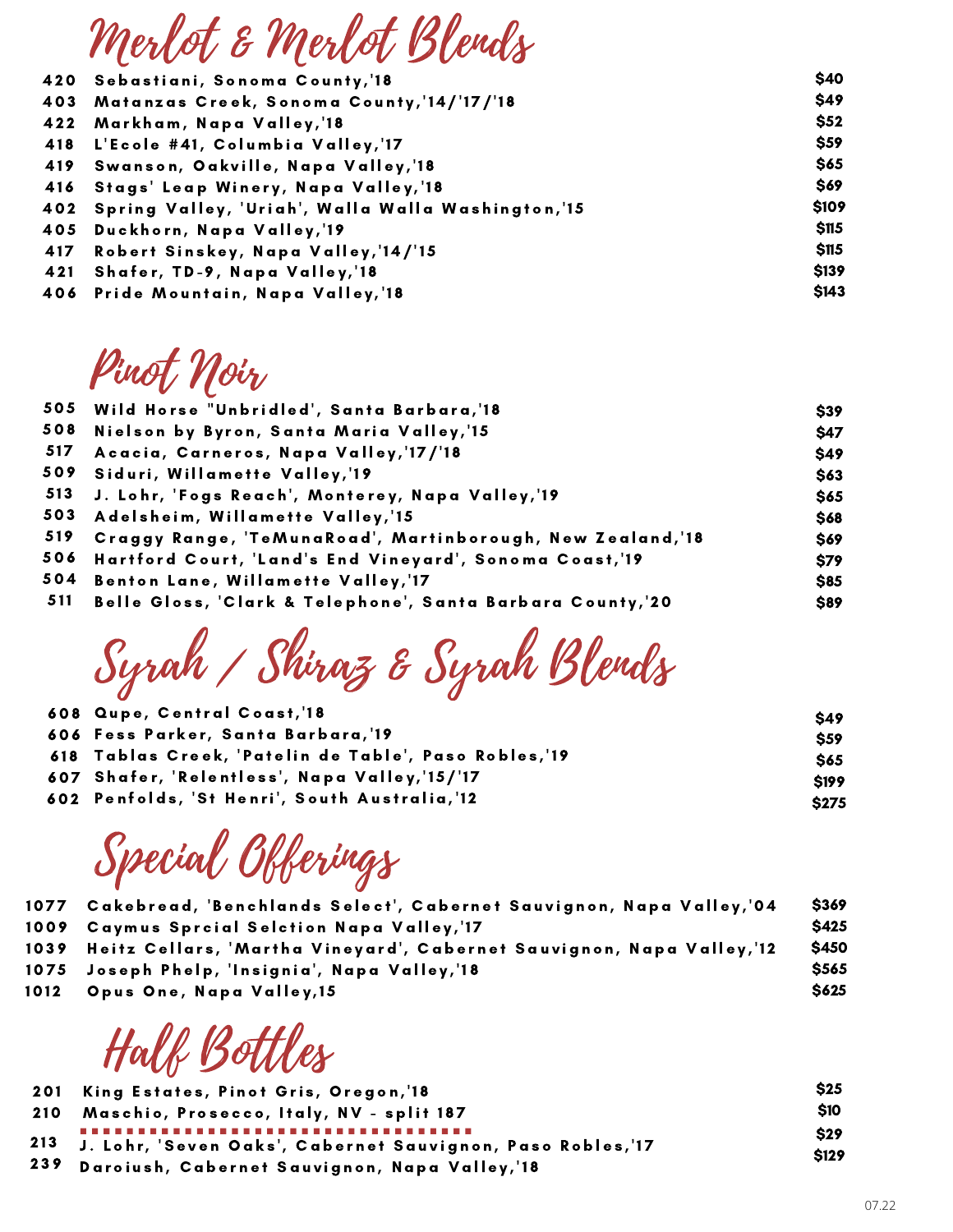| \$40         |
|--------------|
| \$49         |
| \$52         |
| \$59         |
| \$65         |
| \$69         |
| \$109        |
| \$115        |
| \$115        |
| <b>\$139</b> |
| \$143        |
|              |

Pinot Noir

 $\boldsymbol{\varOmega}$ 

 $\overline{a}$ 

 $\boldsymbol{\varOmega}$ 

 $\mathbf{a}$ 

|     | 505 Wild Horse "Unbridled', Santa Barbara,'18                  | \$39        |
|-----|----------------------------------------------------------------|-------------|
| 508 | Nielson by Byron, Santa Maria Valley, 15                       | \$47        |
| 517 | Acacia, Carneros, Napa Valley, 17/18                           | \$49        |
|     | 509 Siduri, Willamette Valley,'19                              | \$63        |
|     | 513 J. Lohr, 'Fogs Reach', Monterey, Napa Valley, '19          | \$65        |
|     | 503 Adelsheim, Willamette Valley,'15                           | \$68        |
|     | 519 Craggy Range, 'TeMunaRoad', Martinborough, New Zealand,'18 | \$69        |
|     | 506 Hartford Court, 'Land's End Vineyard', Sonoma Coast, 19    | <b>\$79</b> |
|     | 504 Benton Lane, Willamette Valley,'17                         | \$85        |
|     | 511 Belle Gloss, 'Clark & Telephone', Santa Barbara County, 20 | <b>\$89</b> |

Syrah / Shiraz & Syrah Blends

| 608 Qupe, Central Coast, 18                           | <b>S49</b>  |
|-------------------------------------------------------|-------------|
| 606 Fess Parker, Santa Barbara, 19                    | <b>S59</b>  |
| 618 Tablas Creek, 'Patelin de Table', Paso Robles, 19 | <b>S65</b>  |
| 607 Shafer, 'Relentless', Napa Valley, '15/'17        | <b>S199</b> |
| 602 Penfolds, 'St Henri', South Australia, 12         | <b>S275</b> |

Special Obberings

| 1077   Cakebread, 'Benchlands Select', Cabernet Sauvignon, Napa Valley,'04   | \$369        |
|------------------------------------------------------------------------------|--------------|
| 1009 Caymus Sprcial Selction Napa Valley,'17                                 | <b>\$425</b> |
| 1039   Heitz Cellars, 'Martha Vineyard', Cabernet Sauvignon, Napa Valley,'12 | <b>\$450</b> |
| 1075 Joseph Phelp, 'Insignia', Napa Valley, '18                              | <b>\$565</b> |
| 1012 Opus One, Napa Valley, 15                                               | <b>S625</b>  |
|                                                                              |              |

Halk Bottles

| 201 King Estates, Pinot Gris, Oregon, 18                           | <b>\$25</b>               |
|--------------------------------------------------------------------|---------------------------|
| 210 Maschio, Prosecco, Italy, NV - split 187                       | \$10                      |
| <br>213 J. Lohr, 'Seven Oaks', Cabernet Sauvignon, Paso Robles,'17 | <b>S29</b><br><b>S129</b> |
| 239 Daroiush, Cabernet Sauvignon, Napa Valley, 18                  |                           |